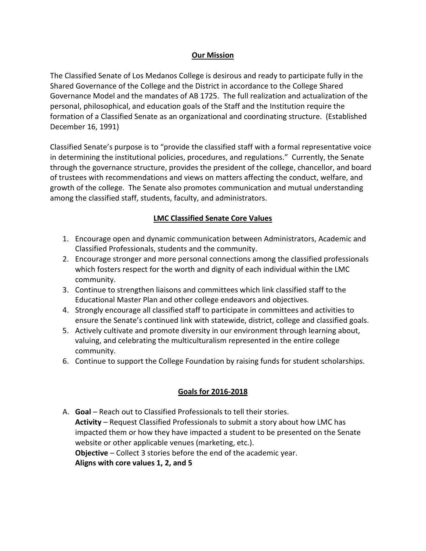## **Our Mission**

The Classified Senate of Los Medanos College is desirous and ready to participate fully in the Shared Governance of the College and the District in accordance to the College Shared Governance Model and the mandates of AB 1725. The full realization and actualization of the personal, philosophical, and education goals of the Staff and the Institution require the formation of a Classified Senate as an organizational and coordinating structure. (Established December 16, 1991)

Classified Senate's purpose is to "provide the classified staff with a formal representative voice in determining the institutional policies, procedures, and regulations." Currently, the Senate through the governance structure, provides the president of the college, chancellor, and board of trustees with recommendations and views on matters affecting the conduct, welfare, and growth of the college. The Senate also promotes communication and mutual understanding among the classified staff, students, faculty, and administrators.

## **LMC Classified Senate Core Values**

- 1. Encourage open and dynamic communication between Administrators, Academic and Classified Professionals, students and the community.
- 2. Encourage stronger and more personal connections among the classified professionals which fosters respect for the worth and dignity of each individual within the LMC community.
- 3. Continue to strengthen liaisons and committees which link classified staff to the Educational Master Plan and other college endeavors and objectives.
- 4. Strongly encourage all classified staff to participate in committees and activities to ensure the Senate's continued link with statewide, district, college and classified goals.
- 5. Actively cultivate and promote diversity in our environment through learning about, valuing, and celebrating the multiculturalism represented in the entire college community.
- 6. Continue to support the College Foundation by raising funds for student scholarships.

## **Goals for 2016-2018**

A. **Goal** – Reach out to Classified Professionals to tell their stories. **Activity** – Request Classified Professionals to submit a story about how LMC has impacted them or how they have impacted a student to be presented on the Senate website or other applicable venues (marketing, etc.). **Objective** – Collect 3 stories before the end of the academic year. **Aligns with core values 1, 2, and 5**